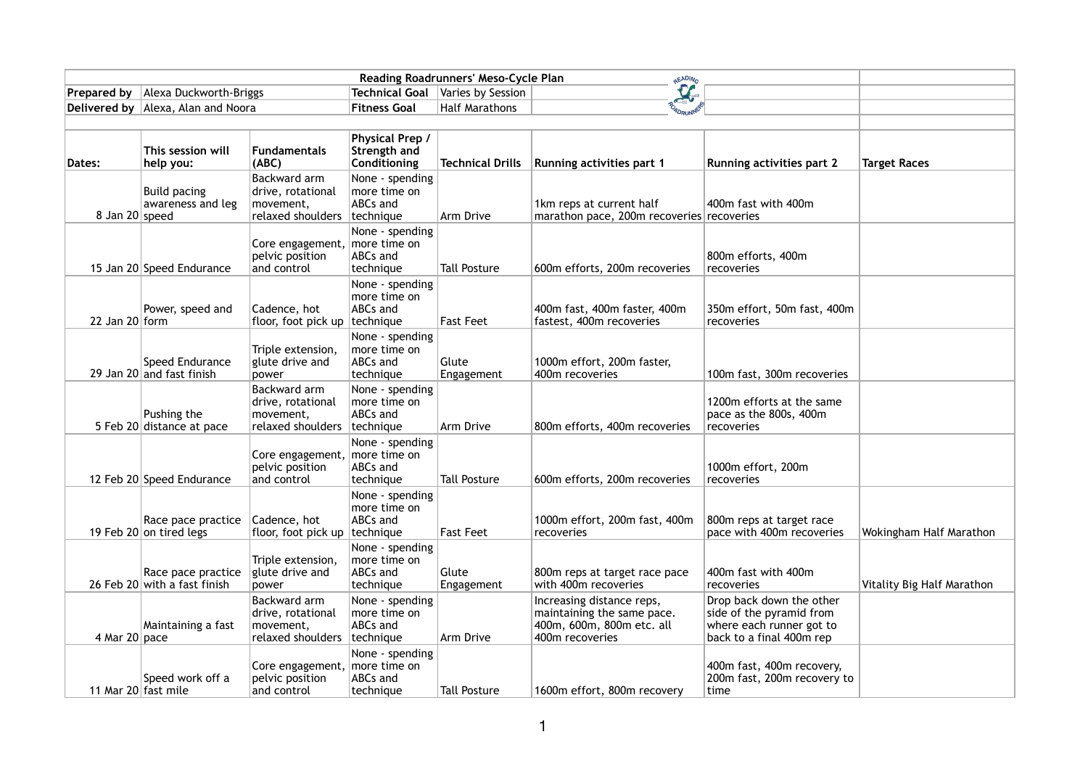| <b>Prepared by</b>  | Alexa Duckworth-Briggs                             |                                                                     | Technical Goal                                           | Varies by Session       | $\mathcal{L}_{\mathcal{P}}$                                                                             |                                                                                                              |                            |
|---------------------|----------------------------------------------------|---------------------------------------------------------------------|----------------------------------------------------------|-------------------------|---------------------------------------------------------------------------------------------------------|--------------------------------------------------------------------------------------------------------------|----------------------------|
|                     | Delivered by   Alexa, Alan and Noora               |                                                                     | <b>Fitness Goal</b>                                      | <b>Half Marathons</b>   |                                                                                                         |                                                                                                              |                            |
|                     |                                                    |                                                                     |                                                          |                         |                                                                                                         |                                                                                                              |                            |
| Dates:              | This session will<br>help you:                     | <b>Fundamentals</b><br>(ABC)                                        | Physical Prep /<br>Strength and<br>Conditioning          | <b>Technical Drills</b> | <b>Running activities part 1</b>                                                                        | <b>Running activities part 2</b>                                                                             | <b>Target Races</b>        |
| 8 Jan 20 speed      | Build pacing<br>awareness and leg                  | Backward arm<br>drive, rotational<br>movement,<br>relaxed shoulders | None - spending<br>more time on<br>ABCs and<br>technique | Arm Drive               | 1km reps at current half<br>marathon pace, 200m recoveries recoveries                                   | 400m fast with 400m                                                                                          |                            |
|                     | 15 Jan 20 Speed Endurance                          | Core engagement,<br>pelvic position<br>and control                  | None - spending<br>more time on<br>ABCs and<br>technique | <b>Tall Posture</b>     | 600m efforts, 200m recoveries                                                                           | 800m efforts, 400m<br>recoveries                                                                             |                            |
| 22 Jan 20 form      | Power, speed and                                   | Cadence, hot<br>floor, foot pick up                                 | None - spending<br>more time on<br>ABCs and<br>technique | <b>Fast Feet</b>        | 400m fast, 400m faster, 400m<br>fastest, 400m recoveries                                                | 350m effort, 50m fast, 400m<br>recoveries                                                                    |                            |
|                     | Speed Endurance<br>29 Jan 20 and fast finish       | Triple extension,<br>glute drive and<br>power                       | None - spending<br>more time on<br>ABCs and<br>technique | Glute<br>Engagement     | 1000m effort, 200m faster,<br>400m recoveries                                                           | 100m fast, 300m recoveries                                                                                   |                            |
|                     | Pushing the<br>5 Feb 20 distance at pace           | Backward arm<br>drive, rotational<br>movement,<br>relaxed shoulders | None - spending<br>more time on<br>ABCs and<br>technique | Arm Drive               | 800m efforts, 400m recoveries                                                                           | 1200m efforts at the same<br>pace as the 800s, 400m<br>recoveries                                            |                            |
|                     | 12 Feb 20 Speed Endurance                          | Core engagement,<br>pelvic position<br>and control                  | None - spending<br>more time on<br>ABCs and<br>technique | <b>Tall Posture</b>     | 600m efforts, 200m recoveries                                                                           | 1000m effort, 200m<br>recoveries                                                                             |                            |
|                     | Race pace practice<br>19 Feb 20 on tired legs      | Cadence, hot<br>floor, foot pick up   technique                     | None - spending<br>more time on<br><b>ABCs and</b>       | <b>Fast Feet</b>        | 1000m effort, 200m fast, 400m<br>recoveries                                                             | 800m reps at target race<br>pace with 400m recoveries                                                        | Wokingham Half Marathon    |
|                     | Race pace practice<br>26 Feb 20 with a fast finish | Triple extension,<br>glute drive and<br>power                       | None - spending<br>more time on<br>ABCs and<br>technique | Glute<br>Engagement     | 800m reps at target race pace<br>with 400m recoveries                                                   | 400m fast with 400m<br>recoveries                                                                            | Vitality Big Half Marathon |
| 4 Mar $20$ pace     | Maintaining a fast                                 | Backward arm<br>drive, rotational<br>movement,<br>relaxed shoulders | None - spending<br>more time on<br>ABCs and<br>technique | Arm Drive               | Increasing distance reps,<br>maintaining the same pace.<br>400m, 600m, 800m etc. all<br>400m recoveries | Drop back down the other<br>side of the pyramid from<br>where each runner got to<br>back to a final 400m rep |                            |
| 11 Mar 20 fast mile | Speed work off a                                   | Core engagement,<br>pelvic position<br>and control                  | None - spending<br>more time on<br>ABCs and<br>technique | <b>Tall Posture</b>     | 1600m effort, 800m recovery                                                                             | 400m fast, 400m recovery,<br>200m fast, 200m recovery to<br>time                                             |                            |